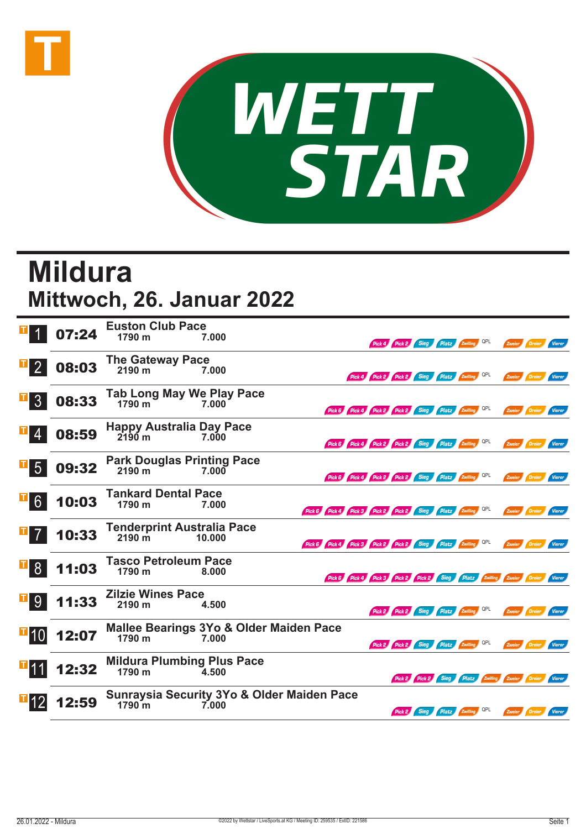



## **Mildura Mittwoch, 26. Januar 2022**

|                                                                   | 07:24 | <b>Euston Club Pace</b><br>1790 m<br>7.000<br>Pick 4 Pick 2 Sieg Platz Zwilling QPL                                           |  | Zweier Dreier<br>Vierer                                |
|-------------------------------------------------------------------|-------|-------------------------------------------------------------------------------------------------------------------------------|--|--------------------------------------------------------|
| $\mathbf{T}$<br>$\vert$ 2                                         | 08:03 | The Gateway Pace<br>2190 m 7.0<br>7.000<br>Pick 4 Pick 2 Pick 2 Sieg Platz Zwilling QPL                                       |  | Zweier Dreier Vierer                                   |
| 3 <sup>1</sup>                                                    | 08:33 | Tab Long May We Play Pace<br>1790 m<br>7.000<br>Pick 6 Pick 4 Pick 2 Pick 2 Sieg Platz Zwilling QPL                           |  | Zweier Dreier Vierer                                   |
| 4                                                                 | 08:59 | <b>Happy Australia Day Pace</b><br>$2190$ m<br>7.000<br>Pick 6 Pick 4 Pick 2 Pick 2 Sieg Platz Zwilling QPL                   |  | Zweier Dreier Vierer                                   |
| 5 <sup>5</sup>                                                    | 09:32 | <b>Park Douglas Printing Pace</b><br>2190 m<br>7.000<br>Pick 6 Pick 4 Pick 2 Pick 2 Sieg Platz Zwilling QPL                   |  | Zweier Dreier Vierer                                   |
| 6 <sup>1</sup>                                                    | 10:03 | <b>Tankard Dental Pace</b><br>1790 m<br>7.000<br>Pick 6 Pick 4 Pick 3 Pick 2 Pick 2 Sieg Platz Zwilling QPL                   |  | Zweier Dreier<br>Vierer                                |
|                                                                   | 10:33 | <b>Tenderprint Australia Pace</b><br>$2190 \text{ m}$<br>10.000<br>Pick 6 Pick 4 Pick 3 Pick 2 Pick 2 Sieg Platz Zwilling QPL |  | Zweier Dreier Vierer                                   |
| $\begin{array}{ c c } \hline \texttt{I} & \texttt{8} \end{array}$ | 11:03 | <b>Tasco Petroleum Pace</b><br>1790 m<br>8.000<br>Pick 6 Pick 4 Pick 3 Pick 2 Pick 2 Sieg Platz Zwilling Zweier Dreier Vierer |  |                                                        |
| 9 <sup>1</sup>                                                    | 11:33 | <b>Zilzie Wines Pace</b><br>2190 m<br>4.500<br>Pick 2 Pick 2 Sieg Platz Zwilling QPL                                          |  | Zweier Dreier Vierer                                   |
| $\blacksquare$ 10                                                 | 12:07 | Mallee Bearings 3Yo & Older Maiden Pace<br>1790 m<br>7.000<br>Pick 2 Pick 2 Sieg Platz Zwilling QPL                           |  | Zweier Dreier<br>Vierer                                |
| <b>T</b> 11                                                       | 12:32 | <b>Mildura Plumbing Plus Pace</b><br>1790 m<br>4.500                                                                          |  | Pick 2 Pick 2 Sieg Platz Zwilling Zweier Dreier Vierer |
|                                                                   | 12:59 | <b>Sunraysia Security 3Yo &amp; Older Maiden Pace</b><br>$1790 \text{ m}$<br>7.000<br>Pick 2 Sieg Platz Zwilling QPL          |  | Zweier Dreier<br><b>Vierer</b>                         |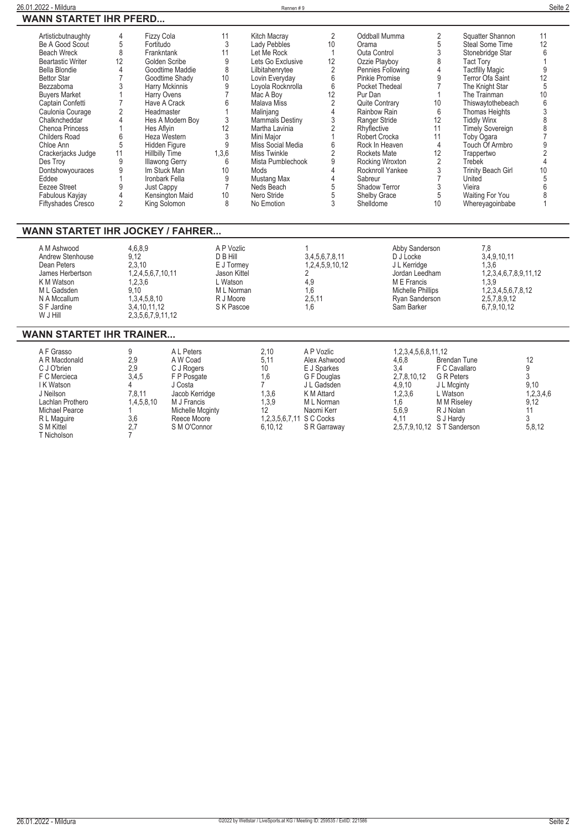| Artisticbutnaughty        | 4  | <b>Fizzy Cola</b>     | 11    | Kitch Macray           | $\overline{2}$ | Oddball Mumma         |                | Squatter Shannon          | 11 |
|---------------------------|----|-----------------------|-------|------------------------|----------------|-----------------------|----------------|---------------------------|----|
| Be A Good Scout           | 5  | Fortitudo             | 3     | Lady Pebbles           | 10             | Orama                 |                | <b>Steal Some Time</b>    | 12 |
| <b>Beach Wreck</b>        | 8  | Frankntank            | 11    | Let Me Rock            |                | Outa Control          | 3              | Stonebridge Star          |    |
| <b>Beartastic Writer</b>  | 12 | Golden Scribe         | 9     | Lets Go Exclusive      | 12             | Ozzie Playboy         | 8              | Tact Tory                 |    |
| Bella Blondie             |    | Goodtime Maddie       | 8     | Lilbitahenrytee        | $\overline{2}$ | Pennies Following     |                | <b>Tactfilly Magic</b>    |    |
| <b>Bettor Star</b>        |    | Goodtime Shady        | 10    | Lovin Everyday         | 6              | <b>Pinkie Promise</b> | 9              | Terror Ofa Saint          | 12 |
| Bezzaboma                 |    | Harry Mckinnis        | 9     | Loyola Rocknrolla      | 6              | Pocket Thedeal        |                | The Knight Star           | 5  |
| <b>Buvers Market</b>      |    | Harry Ovens           |       | Mac A Boy              | 12             | Pur Dan               |                | The Trainman              | 10 |
| Captain Confetti          |    | Have A Crack          |       | Malava Miss            |                | <b>Quite Contrary</b> | 10             | Thiswaytothebeach         | 6  |
| Caulonia Courage          |    | Headmaster            |       | Malinjang              |                | Rainbow Rain          | 6              | Thomas Heights            |    |
| Chalkncheddar             |    | Hes A Modern Boy      |       | <b>Mammals Destiny</b> |                | Ranger Stride         | 12             | <b>Tiddly Winx</b>        |    |
| <b>Chenoa Princess</b>    |    | Hes Aflyin            | 12    | Martha Lavinia         |                | Rhyflective           | 11             | <b>Timely Sovereign</b>   |    |
| <b>Childers Road</b>      | 6  | Heza Western          |       | Mini Major             |                | Robert Crocka         | 11             | Toby Ogara                |    |
| Chloe Ann                 | 5  | Hidden Figure         |       | Miss Social Media      |                | Rock In Heaven        | $\overline{4}$ | Touch Of Armbro           |    |
| Crackerjacks Judge        | 11 | <b>Hillbilly Time</b> | 1,3,6 | Miss Twinkle           |                | <b>Rockets Mate</b>   | 12             | Trappertwo                |    |
| Des Troy                  | 9  | <b>Illawong Gerry</b> | 6     | Mista Pumblechook      | 9              | Rocking Wroxton       |                | Trebek                    |    |
| Dontshowyouraces          |    | Im Stuck Man          | 10    | Mods                   |                | Rocknroll Yankee      |                | <b>Trinity Beach Girl</b> | 10 |
| Eddee                     |    | Ironbark Fella        |       | Mustang Max            |                | Sabreur               |                | United                    |    |
| Eezee Street              |    | Just Cappy            |       | Neds Beach             | 5              | <b>Shadow Terror</b>  | 3              | Vieira                    |    |
| Fabulous Kayjay           |    | Kensington Maid       | 10    | Nero Stride            |                | <b>Shelby Grace</b>   | 5              | Waiting For You           |    |
| <b>Fiftyshades Cresco</b> |    | King Solomon          | 8     | No Emotion             | 3              | Shelldome             | 10             | Whereyagoinbabe           |    |

| A M Ashwood<br>Andrew Stenhouse<br>Dean Peters<br>James Herbertson<br>K M Watson<br>M L Gadsden<br>N A Mccallum<br>S F Jardine<br>W J Hill | 4,6,8,9<br>9.12<br>2.3.10<br>1.2.4.5.6.7.10.11<br>1,2,3,6<br>9.10<br>1.3.4.5.8.10<br>3.4.10.11.12<br>2,3,5,6,7,9,11,12 | A P Vozlic<br>D B Hill<br>E J Tormey<br>Jason Kittel<br>. Watson<br>M L Norman<br>R J Moore<br>S K Pascoe | 3.4.5.6.7.8.11<br>1,2,4,5,9,10,12<br>4.9<br>1.6<br>2.5.11<br>1.6 | Abby Sanderson<br>D J Locke<br>J L Kerridge<br>Jordan Leedham<br>M E Francis<br>Michelle Phillips<br>Rvan Sanderson<br>Sam Barker | 7.8<br>3,4,9,10,11<br>1,3,6<br>1,2,3,4,6,7,8,9,11,12<br>1,3,9<br>1,2,3,4,5,6,7,8,12<br>2,5,7,8,9,12<br>6,7,9,10,12 |
|--------------------------------------------------------------------------------------------------------------------------------------------|------------------------------------------------------------------------------------------------------------------------|-----------------------------------------------------------------------------------------------------------|------------------------------------------------------------------|-----------------------------------------------------------------------------------------------------------------------------------|--------------------------------------------------------------------------------------------------------------------|
|--------------------------------------------------------------------------------------------------------------------------------------------|------------------------------------------------------------------------------------------------------------------------|-----------------------------------------------------------------------------------------------------------|------------------------------------------------------------------|-----------------------------------------------------------------------------------------------------------------------------------|--------------------------------------------------------------------------------------------------------------------|

## **WANN STARTET IHR TRAINER...**

| A F Grasso<br>A R Macdonald<br>C J O'brien<br>F C Mercieca<br>I K Watson<br>J Neilson<br>Lachlan Prothero<br><b>Michael Pearce</b> | 9<br>2,9<br>2,9<br>3,4,5<br>7.8.11<br>1,4,5,8,10 | A L Peters<br>A W Coad<br>C J Rogers<br>F P Posgate<br>J Costa<br>Jacob Kerridge<br>M J Francis<br>Michelle Mcginty | 2.10<br>5.11<br>10<br>1.6<br>1,3,6<br>1.3.9 | A P Vozlic<br>Alex Ashwood<br>E J Sparkes<br>G F Douglas<br>J L Gadsden<br>K M Attard<br>M L Norman<br>Naomi Kerr | 1,2,3,4,5,6,8,11,12<br>4,6,8<br>3.4<br>2,7,8,10,12<br>4,9,10<br>1,2,3,6<br>1,6<br>5,6,9 | <b>Brendan Tune</b><br>F C Cavallaro<br><b>G</b> R Peters<br>J L Mcginty<br>L Watson<br>M M Riselev<br>R J Nolan | 12<br>9.10<br>1,2,3,4,6<br>9.12 |
|------------------------------------------------------------------------------------------------------------------------------------|--------------------------------------------------|---------------------------------------------------------------------------------------------------------------------|---------------------------------------------|-------------------------------------------------------------------------------------------------------------------|-----------------------------------------------------------------------------------------|------------------------------------------------------------------------------------------------------------------|---------------------------------|
| R L Maguire<br>S M Kittel<br>T Nicholson                                                                                           | 3,6<br>2.7                                       | Reece Moore<br>S M O'Connor                                                                                         | 1,2,3,5,6,7,11 S C Cocks<br>6.10.12         | S R Garraway                                                                                                      | 4.11                                                                                    | S J Hardy<br>2,5,7,9,10,12 S T Sanderson                                                                         | 5,8,12                          |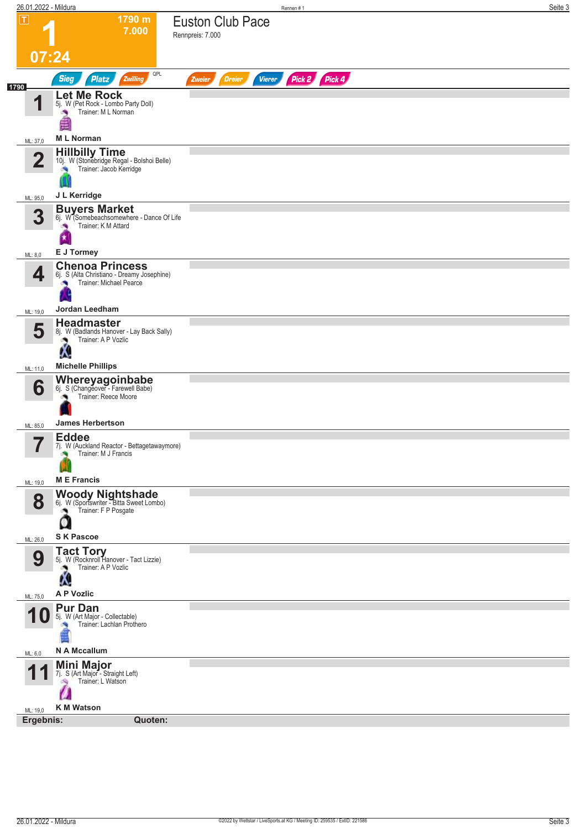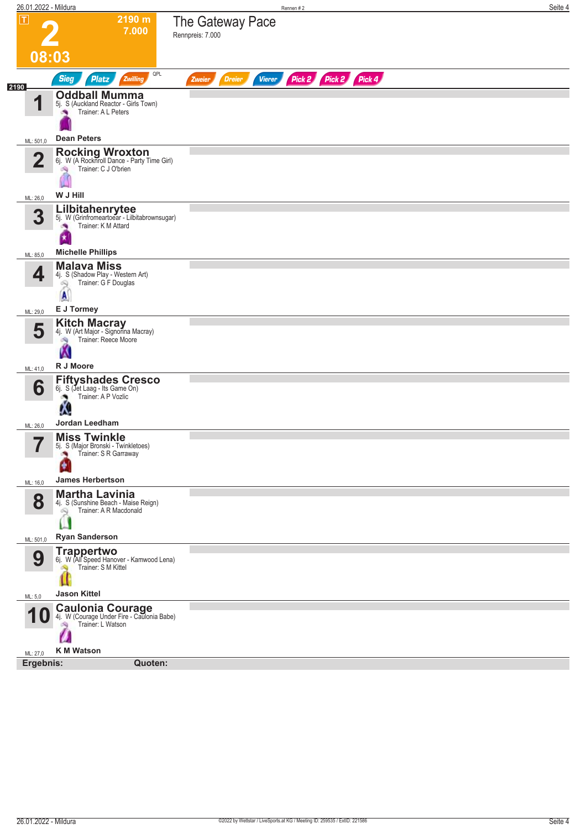| 26.01.2022 - Mildura          |                                                                                                                        |                                          | Seite 4<br>Rennen #2 |
|-------------------------------|------------------------------------------------------------------------------------------------------------------------|------------------------------------------|----------------------|
| $ \mathsf{T} $                | 2190 m<br>7.000                                                                                                        | The Gateway Pace<br>Rennpreis: 7.000     |                      |
| 08:03                         |                                                                                                                        |                                          |                      |
| 2190                          | QPL<br><b>Sieg</b><br><b>Platz</b><br>Zwilling                                                                         | <b>Dreier</b><br><b>Vierer</b><br>Zweier | Pick 2 Pick 2 Pick 4 |
| 1                             | <b>Oddball Mumma</b><br>5j. S (Auckland Reactor - Girls Town)<br>Trainer: A L Peters                                   |                                          |                      |
| ML: 501,0                     | <b>Dean Peters</b>                                                                                                     |                                          |                      |
| $\mathbf{2}$                  | <b>Rocking Wroxton</b><br>6j. W (A Rocknroll Dance - Party Time Girl)<br>Trainer: C J O'brien<br>W J Hill              |                                          |                      |
| ML: 26,0                      |                                                                                                                        |                                          |                      |
| 3                             | Lilbitahenrytee<br>5j. W (Grinfromeartoear - Lilbitabrownsugar)<br>Trainer: K M Attard<br>×<br>因                       |                                          |                      |
| ML: 85,0                      | <b>Michelle Phillips</b>                                                                                               |                                          |                      |
| 4                             | <b>Malava Miss</b><br>4j. S (Shadow Play - Western Art)<br>Trainer: G F Douglas<br>$\mathbb{R}$<br>A                   |                                          |                      |
| ML: 29,0                      | E J Tormey                                                                                                             |                                          |                      |
| 5<br>ML: 41,0                 | <b>Kitch Macray</b><br>4j. W (Art Major - Signorina Macray)<br>Trainer: Reece Moore<br>d9<br>Ŵ<br>R J Moore            |                                          |                      |
| 6                             | <b>Fiftyshades Cresco</b><br>6j. S (Jet Laag - Its Game On)<br>Trainer: A P Vozlic                                     |                                          |                      |
|                               | Ą.                                                                                                                     |                                          |                      |
| ML: 26,0                      | Jordan Leedham                                                                                                         |                                          |                      |
| $\overline{\phantom{a}}$<br>H | <b>Miss Twinkle</b><br>5j. S (Major Bronski - Twinkletoes)<br>Trainer: S R Garraway<br>×.                              |                                          |                      |
| ML: 16,0                      | <b>James Herbertson</b>                                                                                                |                                          |                      |
| 8                             | <b>Martha Lavinia</b><br>4j. S (Sunshine Beach - Maise Reign)<br>Trainer: A R Macdonald<br>Q.<br><b>Ryan Sanderson</b> |                                          |                      |
| ML: 501,0                     |                                                                                                                        |                                          |                      |
| 9                             | Trappertwo<br>6j. W (All Speed Hanover - Kamwood Lena)<br>Trainer: S M Kittel                                          |                                          |                      |
| ML: 5,0                       | <b>Jason Kittel</b>                                                                                                    |                                          |                      |
|                               | <b>10 Caulonia Courage</b><br>Trainer: L Watson<br><b>K M Watson</b>                                                   |                                          |                      |
| ML: 27,0                      |                                                                                                                        |                                          |                      |
| Ergebnis:                     | Quoten:                                                                                                                |                                          |                      |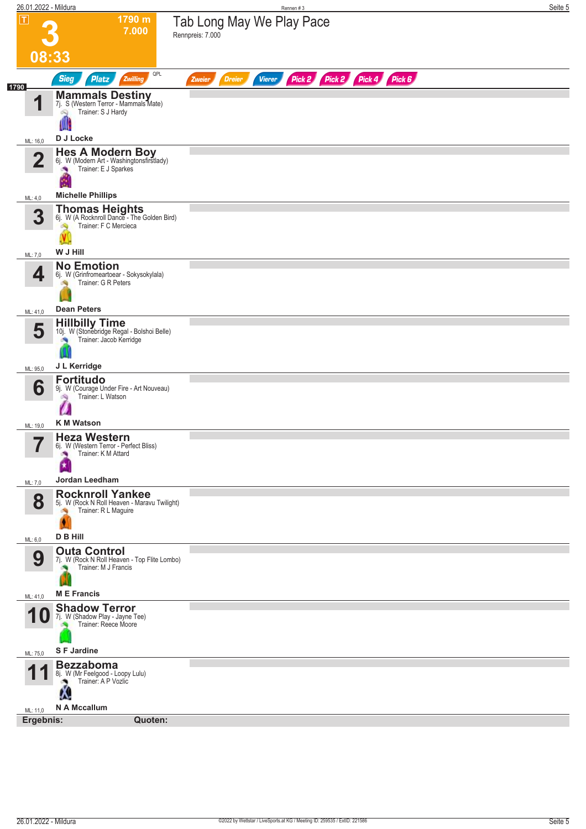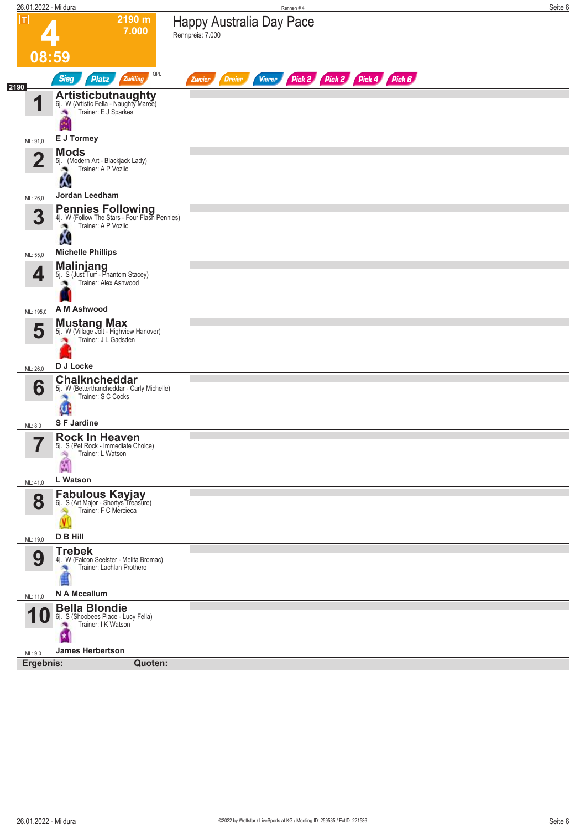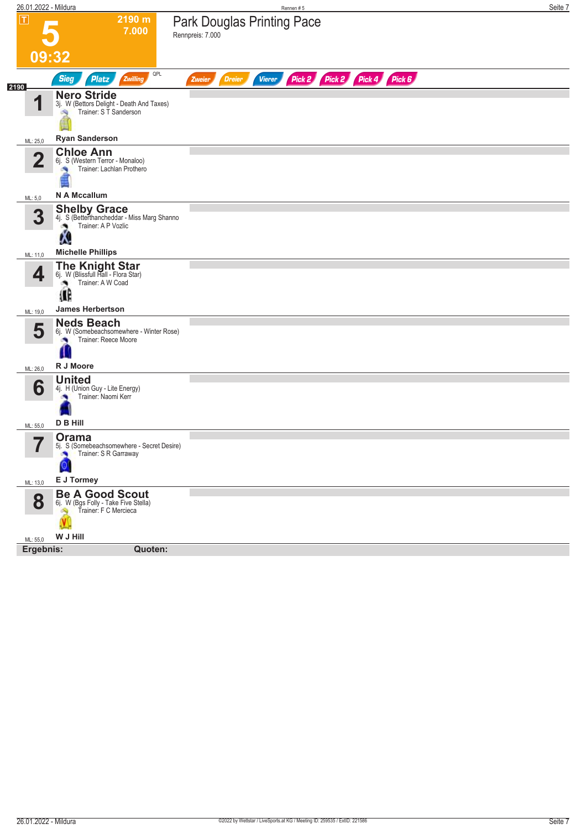| 26.01.2022 - Mildura    |                                                                                                 | Rennen#5                                                                | Seite 7 |
|-------------------------|-------------------------------------------------------------------------------------------------|-------------------------------------------------------------------------|---------|
| $ \mathsf{T} $          | 2190 m<br>7.000                                                                                 | <b>Park Douglas Printing Pace</b><br>Rennpreis: 7.000                   |         |
|                         | 09:32                                                                                           |                                                                         |         |
| 2190                    | QPL<br><b>Sieg</b><br><b>Platz</b><br>Zwilling                                                  | Pick 2 Pick 2 Pick 4 Pick 6<br><b>Dreier</b><br><b>Vierer</b><br>Zweier |         |
| И                       | <b>Nero Stride</b><br>3j. W (Bettors Delight - Death And Taxes)<br>Trainer: S T Sanderson       |                                                                         |         |
| ML: 25,0                | <b>Ryan Sanderson</b>                                                                           |                                                                         |         |
| $\overline{\mathbf{2}}$ | <b>Chloe Ann</b><br>6j. S (Western Terror - Monaloo)<br>Trainer: Lachlan Prothero               |                                                                         |         |
| ML: 5,0                 | N A Mccallum                                                                                    |                                                                         |         |
| 3                       | <b>Shelby Grace</b><br>4j. S (Betterthancheddar - Miss Marg Shanno<br>Trainer: A P Vozlic<br>Δ. |                                                                         |         |
| ML: 11,0                | <b>Michelle Phillips</b>                                                                        |                                                                         |         |
| 4                       | <b>The Knight Star</b><br>6j. W (Blissfull Hall - Flora Star)<br>Trainer: A W Coad<br>æ<br>Œ    |                                                                         |         |
|                         | <b>James Herbertson</b>                                                                         |                                                                         |         |
| ML: 19,0<br>5           | <b>Neds Beach</b><br>6j. W (Somebeachsomewhere - Winter Rose)<br>Trainer: Reece Moore           |                                                                         |         |
| ML: 26,0                | R J Moore                                                                                       |                                                                         |         |
| 6                       | <b>United</b><br>4j. H (Union Guy - Lite Energy)<br>Trainer: Naomi Kerr<br>D B Hill             |                                                                         |         |
| ML: 55,0                | Orama                                                                                           |                                                                         |         |
|                         | 5j. S (Somebeachsomewhere - Secret Desire)<br>Trainer: S R Garraway<br>×<br>Q                   |                                                                         |         |
| ML: 13,0                | E J Tormey                                                                                      |                                                                         |         |
| 8                       | <b>Be A Good Scout</b><br>61. W (Bgs Folly - Take Five Stella)<br>Trainer: F C Mercieca         |                                                                         |         |
| ML: 55,0                | W J Hill                                                                                        |                                                                         |         |
| Ergebnis:               | Quoten:                                                                                         |                                                                         |         |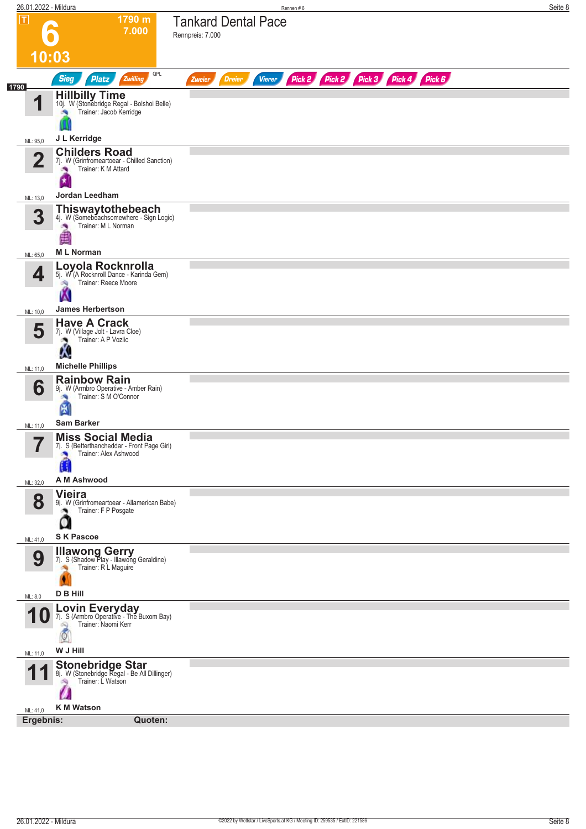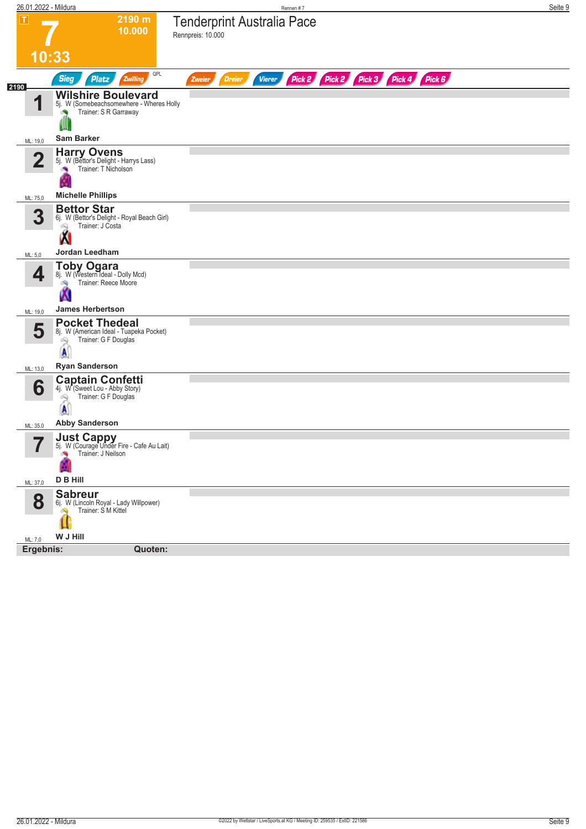| П<br>2190 m<br><b>Tenderprint Australia Pace</b><br>10.000<br>Rennpreis: 10.000<br>10:33<br>QPL<br>Pick 2 Pick 2 Pick 3 Pick 4 Pick 6<br><b>Sieg</b><br><b>Platz</b><br>Zwilling<br><b>Dreier</b><br><b>Vierer</b><br>Zweier<br>2190<br><b>Wilshire Boulevard</b><br>◢<br>5j. W (Somebeachsomewhere - Wheres Holly<br>Trainer: S R Garraway<br>ľЩ<br><b>Sam Barker</b><br>ML: 19,0<br><b>Harry Ovens</b><br>5j. W (Bettor's Delight - Harrys Lass)<br>$\mathbf{2}$<br>Trainer: T Nicholson<br><b>Michelle Phillips</b><br>ML: 75,0<br><b>Bettor Star</b><br>3<br>6j. W (Bettor's Delight - Royal Beach Girl)<br>Trainer: J Costa<br>Ø9<br><b>Jordan Leedham</b><br>ML: 5,0<br>Toby Ogara<br>8j. W (Western Ideal - Dolly Mcd)<br>4<br>Trainer: Reece Moore<br>ંચ<br>w<br><b>James Herbertson</b><br>ML: 19,0<br><b>Pocket Thedeal</b><br>5<br>8j. W (American Ideal - Tuapeka Pocket)<br>Trainer: G F Douglas<br>6Q<br><b>Ryan Sanderson</b><br>ML: 13,0<br><b>Captain Confetti</b><br>6<br>4j. W (Sweet Lou - Abby Story)<br>Trainer: G F Douglas<br>69<br><b>Abby Sanderson</b><br>ML: 35,0<br><b>Just Cappy</b><br>5j. W (Courage Under Fire - Cafe Au Lait)<br>Trainer: J Neilson<br>D B Hill<br>ML: 37,0<br><b>Sabreur</b><br>8<br>6j. W (Lincoln Royal - Lady Willpower)<br>Trainer: S M Kittel<br>W J Hill<br>ML: 7,0<br>Ergebnis:<br>Quoten: | 26.01.2022 - Mildura | Rennen #7 | Seite 9 |
|------------------------------------------------------------------------------------------------------------------------------------------------------------------------------------------------------------------------------------------------------------------------------------------------------------------------------------------------------------------------------------------------------------------------------------------------------------------------------------------------------------------------------------------------------------------------------------------------------------------------------------------------------------------------------------------------------------------------------------------------------------------------------------------------------------------------------------------------------------------------------------------------------------------------------------------------------------------------------------------------------------------------------------------------------------------------------------------------------------------------------------------------------------------------------------------------------------------------------------------------------------------------------------------------------------------------------------------------------|----------------------|-----------|---------|
|                                                                                                                                                                                                                                                                                                                                                                                                                                                                                                                                                                                                                                                                                                                                                                                                                                                                                                                                                                                                                                                                                                                                                                                                                                                                                                                                                      |                      |           |         |
|                                                                                                                                                                                                                                                                                                                                                                                                                                                                                                                                                                                                                                                                                                                                                                                                                                                                                                                                                                                                                                                                                                                                                                                                                                                                                                                                                      |                      |           |         |
|                                                                                                                                                                                                                                                                                                                                                                                                                                                                                                                                                                                                                                                                                                                                                                                                                                                                                                                                                                                                                                                                                                                                                                                                                                                                                                                                                      |                      |           |         |
|                                                                                                                                                                                                                                                                                                                                                                                                                                                                                                                                                                                                                                                                                                                                                                                                                                                                                                                                                                                                                                                                                                                                                                                                                                                                                                                                                      |                      |           |         |
|                                                                                                                                                                                                                                                                                                                                                                                                                                                                                                                                                                                                                                                                                                                                                                                                                                                                                                                                                                                                                                                                                                                                                                                                                                                                                                                                                      |                      |           |         |
|                                                                                                                                                                                                                                                                                                                                                                                                                                                                                                                                                                                                                                                                                                                                                                                                                                                                                                                                                                                                                                                                                                                                                                                                                                                                                                                                                      |                      |           |         |
|                                                                                                                                                                                                                                                                                                                                                                                                                                                                                                                                                                                                                                                                                                                                                                                                                                                                                                                                                                                                                                                                                                                                                                                                                                                                                                                                                      |                      |           |         |
|                                                                                                                                                                                                                                                                                                                                                                                                                                                                                                                                                                                                                                                                                                                                                                                                                                                                                                                                                                                                                                                                                                                                                                                                                                                                                                                                                      |                      |           |         |
|                                                                                                                                                                                                                                                                                                                                                                                                                                                                                                                                                                                                                                                                                                                                                                                                                                                                                                                                                                                                                                                                                                                                                                                                                                                                                                                                                      |                      |           |         |
|                                                                                                                                                                                                                                                                                                                                                                                                                                                                                                                                                                                                                                                                                                                                                                                                                                                                                                                                                                                                                                                                                                                                                                                                                                                                                                                                                      |                      |           |         |
|                                                                                                                                                                                                                                                                                                                                                                                                                                                                                                                                                                                                                                                                                                                                                                                                                                                                                                                                                                                                                                                                                                                                                                                                                                                                                                                                                      |                      |           |         |
|                                                                                                                                                                                                                                                                                                                                                                                                                                                                                                                                                                                                                                                                                                                                                                                                                                                                                                                                                                                                                                                                                                                                                                                                                                                                                                                                                      |                      |           |         |
|                                                                                                                                                                                                                                                                                                                                                                                                                                                                                                                                                                                                                                                                                                                                                                                                                                                                                                                                                                                                                                                                                                                                                                                                                                                                                                                                                      |                      |           |         |
|                                                                                                                                                                                                                                                                                                                                                                                                                                                                                                                                                                                                                                                                                                                                                                                                                                                                                                                                                                                                                                                                                                                                                                                                                                                                                                                                                      |                      |           |         |
|                                                                                                                                                                                                                                                                                                                                                                                                                                                                                                                                                                                                                                                                                                                                                                                                                                                                                                                                                                                                                                                                                                                                                                                                                                                                                                                                                      |                      |           |         |
|                                                                                                                                                                                                                                                                                                                                                                                                                                                                                                                                                                                                                                                                                                                                                                                                                                                                                                                                                                                                                                                                                                                                                                                                                                                                                                                                                      |                      |           |         |
|                                                                                                                                                                                                                                                                                                                                                                                                                                                                                                                                                                                                                                                                                                                                                                                                                                                                                                                                                                                                                                                                                                                                                                                                                                                                                                                                                      |                      |           |         |
|                                                                                                                                                                                                                                                                                                                                                                                                                                                                                                                                                                                                                                                                                                                                                                                                                                                                                                                                                                                                                                                                                                                                                                                                                                                                                                                                                      |                      |           |         |
|                                                                                                                                                                                                                                                                                                                                                                                                                                                                                                                                                                                                                                                                                                                                                                                                                                                                                                                                                                                                                                                                                                                                                                                                                                                                                                                                                      |                      |           |         |
|                                                                                                                                                                                                                                                                                                                                                                                                                                                                                                                                                                                                                                                                                                                                                                                                                                                                                                                                                                                                                                                                                                                                                                                                                                                                                                                                                      |                      |           |         |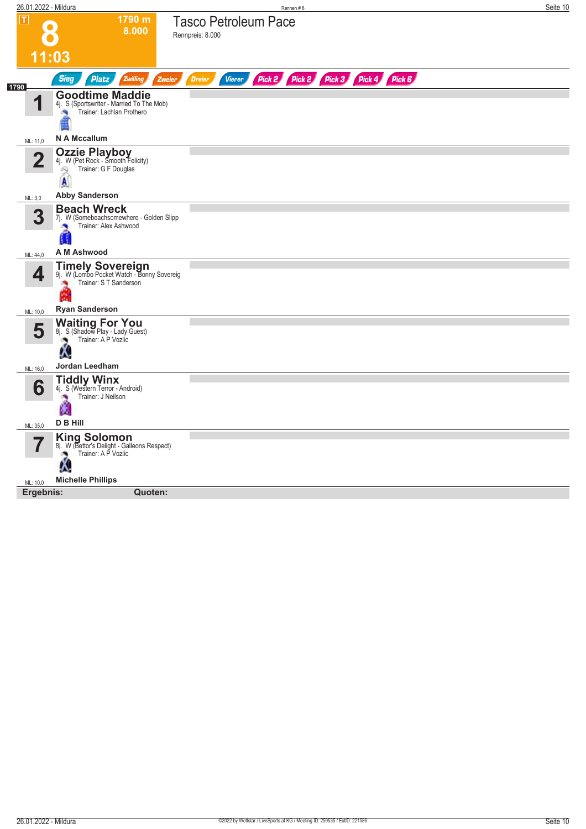| $\overline{\mathsf{L}}$<br>1790 m<br><b>Tasco Petroleum Pace</b><br>8.000<br>Rennpreis: 8.000<br>11:03<br><b>Sieg</b><br>Pick 2<br>Pick 3<br>Pick 4<br>Pick 6<br><b>Platz</b><br>Zwilling<br><b>Dreier</b><br><b>Vierer</b><br>Pick 2<br><b>Zweier</b><br>1790<br><b>Goodtime Maddie</b><br>И<br>4j. S (Sportswriter - Married To The Mob)<br>Trainer: Lachlan Prothero<br>询<br>N A Mccallum<br>ML: 11,0<br><b>Ozzie Playboy</b><br>4j. W (Pet Rock - Smooth Felicity)<br>$\overline{\mathbf{2}}$<br>Trainer: G F Douglas<br>2<br>$\mathbf{A}$<br><b>Abby Sanderson</b><br>ML: 3,0<br><b>Beach Wreck</b><br>3<br>7j. W (Somebeachsomewhere - Golden Slipp<br>Trainer: Alex Ashwood<br>a.<br>Ħ<br>A M Ashwood<br>ML: 44,0<br><b>Timely Sovereign</b><br>4<br>9j. W (Lombo Pocket Watch - Bonny Sovereig<br>Trainer: S T Sanderson<br><b>Ryan Sanderson</b><br>ML: 10,0<br><b>Waiting For You</b><br>8j. S (Shadow Play - Lady Guest)<br>5<br>Trainer: A P Vozlic<br>ு<br>Ķ.<br>Jordan Leedham<br>ML: 16,0<br><b>Tiddly Winx</b><br>4j. S (Western Terror - Android)<br>6<br>Trainer: J Neilson<br>м<br><b>D B Hill</b><br>ML: 35,0<br><b>King Solomon</b><br>8j. W (Bettor's Delight - Galleons Respect)<br>Trainer: A P Vozlic<br>Λ.<br><b>Michelle Phillips</b><br>ML: 10,0 | 26.01.2022 - Mildura |         | Rennen#8 | Seite 10 |
|------------------------------------------------------------------------------------------------------------------------------------------------------------------------------------------------------------------------------------------------------------------------------------------------------------------------------------------------------------------------------------------------------------------------------------------------------------------------------------------------------------------------------------------------------------------------------------------------------------------------------------------------------------------------------------------------------------------------------------------------------------------------------------------------------------------------------------------------------------------------------------------------------------------------------------------------------------------------------------------------------------------------------------------------------------------------------------------------------------------------------------------------------------------------------------------------------------------------------------------------------------------------------|----------------------|---------|----------|----------|
|                                                                                                                                                                                                                                                                                                                                                                                                                                                                                                                                                                                                                                                                                                                                                                                                                                                                                                                                                                                                                                                                                                                                                                                                                                                                              |                      |         |          |          |
|                                                                                                                                                                                                                                                                                                                                                                                                                                                                                                                                                                                                                                                                                                                                                                                                                                                                                                                                                                                                                                                                                                                                                                                                                                                                              |                      |         |          |          |
|                                                                                                                                                                                                                                                                                                                                                                                                                                                                                                                                                                                                                                                                                                                                                                                                                                                                                                                                                                                                                                                                                                                                                                                                                                                                              |                      |         |          |          |
|                                                                                                                                                                                                                                                                                                                                                                                                                                                                                                                                                                                                                                                                                                                                                                                                                                                                                                                                                                                                                                                                                                                                                                                                                                                                              |                      |         |          |          |
|                                                                                                                                                                                                                                                                                                                                                                                                                                                                                                                                                                                                                                                                                                                                                                                                                                                                                                                                                                                                                                                                                                                                                                                                                                                                              |                      |         |          |          |
|                                                                                                                                                                                                                                                                                                                                                                                                                                                                                                                                                                                                                                                                                                                                                                                                                                                                                                                                                                                                                                                                                                                                                                                                                                                                              |                      |         |          |          |
|                                                                                                                                                                                                                                                                                                                                                                                                                                                                                                                                                                                                                                                                                                                                                                                                                                                                                                                                                                                                                                                                                                                                                                                                                                                                              |                      |         |          |          |
|                                                                                                                                                                                                                                                                                                                                                                                                                                                                                                                                                                                                                                                                                                                                                                                                                                                                                                                                                                                                                                                                                                                                                                                                                                                                              |                      |         |          |          |
|                                                                                                                                                                                                                                                                                                                                                                                                                                                                                                                                                                                                                                                                                                                                                                                                                                                                                                                                                                                                                                                                                                                                                                                                                                                                              |                      |         |          |          |
|                                                                                                                                                                                                                                                                                                                                                                                                                                                                                                                                                                                                                                                                                                                                                                                                                                                                                                                                                                                                                                                                                                                                                                                                                                                                              |                      |         |          |          |
|                                                                                                                                                                                                                                                                                                                                                                                                                                                                                                                                                                                                                                                                                                                                                                                                                                                                                                                                                                                                                                                                                                                                                                                                                                                                              |                      |         |          |          |
|                                                                                                                                                                                                                                                                                                                                                                                                                                                                                                                                                                                                                                                                                                                                                                                                                                                                                                                                                                                                                                                                                                                                                                                                                                                                              |                      |         |          |          |
|                                                                                                                                                                                                                                                                                                                                                                                                                                                                                                                                                                                                                                                                                                                                                                                                                                                                                                                                                                                                                                                                                                                                                                                                                                                                              |                      |         |          |          |
|                                                                                                                                                                                                                                                                                                                                                                                                                                                                                                                                                                                                                                                                                                                                                                                                                                                                                                                                                                                                                                                                                                                                                                                                                                                                              |                      |         |          |          |
|                                                                                                                                                                                                                                                                                                                                                                                                                                                                                                                                                                                                                                                                                                                                                                                                                                                                                                                                                                                                                                                                                                                                                                                                                                                                              |                      |         |          |          |
|                                                                                                                                                                                                                                                                                                                                                                                                                                                                                                                                                                                                                                                                                                                                                                                                                                                                                                                                                                                                                                                                                                                                                                                                                                                                              |                      |         |          |          |
|                                                                                                                                                                                                                                                                                                                                                                                                                                                                                                                                                                                                                                                                                                                                                                                                                                                                                                                                                                                                                                                                                                                                                                                                                                                                              |                      |         |          |          |
| Ergebnis:                                                                                                                                                                                                                                                                                                                                                                                                                                                                                                                                                                                                                                                                                                                                                                                                                                                                                                                                                                                                                                                                                                                                                                                                                                                                    |                      | Quoten: |          |          |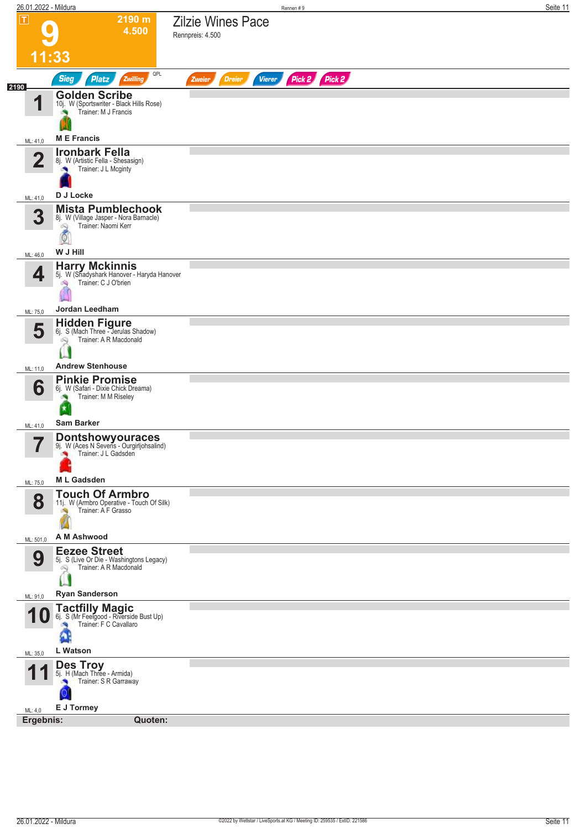| 26.01.2022 - Mildura         |                                                                                                                        |                                              | Rennen#9      |               | Seite 11 |
|------------------------------|------------------------------------------------------------------------------------------------------------------------|----------------------------------------------|---------------|---------------|----------|
| $ \mathbf{T} $               | 2190 m<br>4.500<br>11:33                                                                                               | <b>Zilzie Wines Pace</b><br>Rennpreis: 4.500 |               |               |          |
|                              | QPL<br><b>Sieg</b><br>Zwilling<br><b>Platz</b>                                                                         | <b>Dreier</b><br>Zweier                      | <b>Vierer</b> | Pick 2 Pick 2 |          |
| 2190<br>1                    | <b>Golden Scribe</b><br>10j. W (Sportswriter - Black Hills Rose)<br>Trainer: M J Francis                               |                                              |               |               |          |
| ML: 41,0                     | <b>ME</b> Francis                                                                                                      |                                              |               |               |          |
| $\overline{\mathbf{2}}$      | <b>Ironbark Fella</b><br>8j. W (Artistic Fella - Shesasign)<br>Trainer: J L Mcginty                                    |                                              |               |               |          |
| ML: 41,0                     | D J Locke                                                                                                              |                                              |               |               |          |
| 3                            | <b>Mista Pumblechook</b><br>8j. W (Village Jasper - Nora Barnacle)<br>Trainer: Naomi Kerr<br>吗<br>$\circ$<br>W J Hill  |                                              |               |               |          |
| ML: 46,0                     |                                                                                                                        |                                              |               |               |          |
| 4<br>ML: 75,0                | <b>Harry Mckinnis</b><br>5j. W (Shadyshark Hanover - Haryda Hanover<br>Trainer: C J O'brien<br>6Ý.<br>Jordan Leedham   |                                              |               |               |          |
|                              |                                                                                                                        |                                              |               |               |          |
| 5<br>ML: 11,0                | <b>Hidden Figure</b><br>6j. S (Mach Three - Jerulas Shadow)<br>Trainer: A R Macdonald<br>Ñ,<br><b>Andrew Stenhouse</b> |                                              |               |               |          |
|                              | <b>Pinkie Promise</b>                                                                                                  |                                              |               |               |          |
| 6<br>ML: 41,0                | 6j. W (Safari - Dixie Chick Dreama)<br>Trainer: M M Riseley<br>×<br><b>Sam Barker</b>                                  |                                              |               |               |          |
|                              |                                                                                                                        |                                              |               |               |          |
| $\overline{\mathbf{z}}$<br>ı | <b>Dontshowyouraces</b><br>9j. W (Aces N Sevens - Ourgirljohsalind)<br>Trainer: J L Gadsden                            |                                              |               |               |          |
| ML: 75,0                     | <b>ML Gadsden</b>                                                                                                      |                                              |               |               |          |
| 8                            | <b>Touch Of Armbro</b><br>11j. W (Armbro Operative - Touch Of Silk)<br>Trainer: A F Grasso<br>A M Ashwood              |                                              |               |               |          |
| ML: 501,0                    |                                                                                                                        |                                              |               |               |          |
| 9                            | <b>Eezee Street</b><br>5j. S (Live Or Die - Washingtons Legacy)<br>Trainer: A R Macdonald<br>Q                         |                                              |               |               |          |
| ML: 91,0                     | <b>Ryan Sanderson</b>                                                                                                  |                                              |               |               |          |
| 1 U<br>ML: 35,0              | <b>Tactfilly Magic</b><br>6j. S (Mr Feelgood - Riverside Bust Up)<br>Trainer: F C Cavallaro<br>L Watson                |                                              |               |               |          |
|                              |                                                                                                                        |                                              |               |               |          |
| и<br>ML: 4,0                 | <b>Des Troy</b><br>5j. H (Mach Three - Armida)<br>Trainer: S R Garraway<br>Q<br>E J Tormey                             |                                              |               |               |          |
| Ergebnis:                    | Quoten:                                                                                                                |                                              |               |               |          |
|                              |                                                                                                                        |                                              |               |               |          |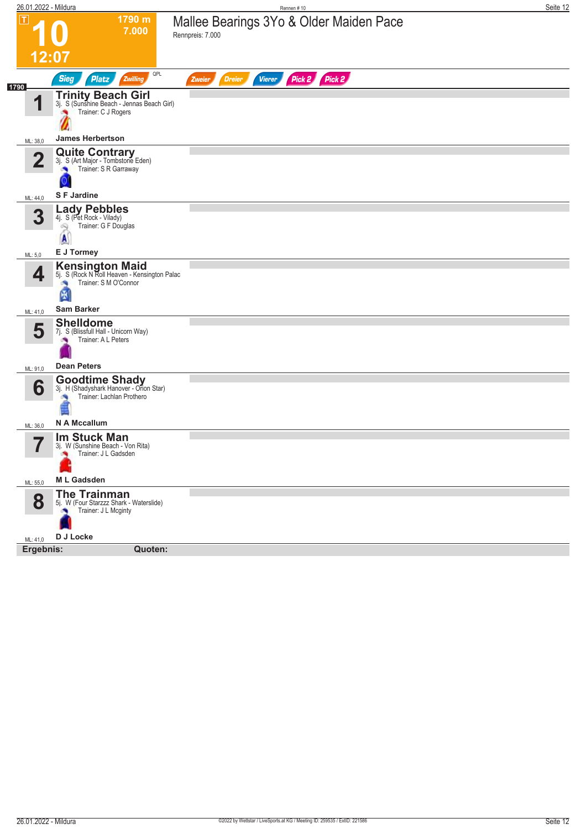| 26.01.2022 - Mildura    |                                                                                                               | Rennen #10                                                   | Seite 12 |
|-------------------------|---------------------------------------------------------------------------------------------------------------|--------------------------------------------------------------|----------|
| ΙT                      | 1790 m<br>7.000                                                                                               | Mallee Bearings 3Yo & Older Maiden Pace<br>Rennpreis: 7.000  |          |
|                         | 12:07                                                                                                         |                                                              |          |
| 1790                    | QPL<br><b>Sieg</b><br><b>Platz</b><br>Zwilling                                                                | Pick 2<br>Pick 2<br><b>Vierer</b><br><b>Dreier</b><br>Zweier |          |
| И                       | <b>Trinity Beach Girl</b><br>3j. S (Sunshine Beach - Jennas Beach Girl)<br>Trainer: C J Rogers                |                                                              |          |
| ML: 38,0                | <b>James Herbertson</b>                                                                                       |                                                              |          |
| $\overline{\mathbf{2}}$ | <b>Quite Contrary</b><br>3j. S (Art Major - Tombstone Eden)<br>Trainer: S R Garraway<br>×,                    |                                                              |          |
| ML: 44,0                | <b>SF Jardine</b>                                                                                             |                                                              |          |
| 3                       | <b>Lady Pebbles</b><br>4j. S (Pet Rock - Vilady)<br>Trainer: G F Douglas<br>2<br>$\mathbf{A}$                 |                                                              |          |
| ML: 5,0                 | E J Tormey                                                                                                    |                                                              |          |
| 4                       | <b>Kensington Maid</b><br>5j. S (Rock N Roll Heaven - Kensington Palac<br>Trainer: S M O'Connor<br>×,<br>K    |                                                              |          |
| ML: 41,0                | <b>Sam Barker</b>                                                                                             |                                                              |          |
| 5                       | <b>Shelldome</b><br>7j. S (Blissfull Hall - Unicorn Way)<br>Trainer: A L Peters                               |                                                              |          |
| ML: 91,0                | <b>Dean Peters</b>                                                                                            |                                                              |          |
| 6<br>ML: 36,0           | <b>Goodtime Shady</b><br>3j. H (Shadyshark Hanover - Orion Star)<br>Trainer: Lachlan Prothero<br>N A Mccallum |                                                              |          |
|                         | <b>Im Stuck Man</b>                                                                                           |                                                              |          |
| -7                      | 3j. W (Sunshine Beach - Von Rita)<br>Trainer: J L Gadsden<br><b>ML Gadsden</b>                                |                                                              |          |
| ML: 55,0                | <b>The Trainman</b>                                                                                           |                                                              |          |
| 8                       | 5j. W (Four Starzzz Shark - Waterslide)<br>Trainer: J L Mcginty<br>×                                          |                                                              |          |
| ML: 41,0                | D J Locke                                                                                                     |                                                              |          |
| Ergebnis:               | Quoten:                                                                                                       |                                                              |          |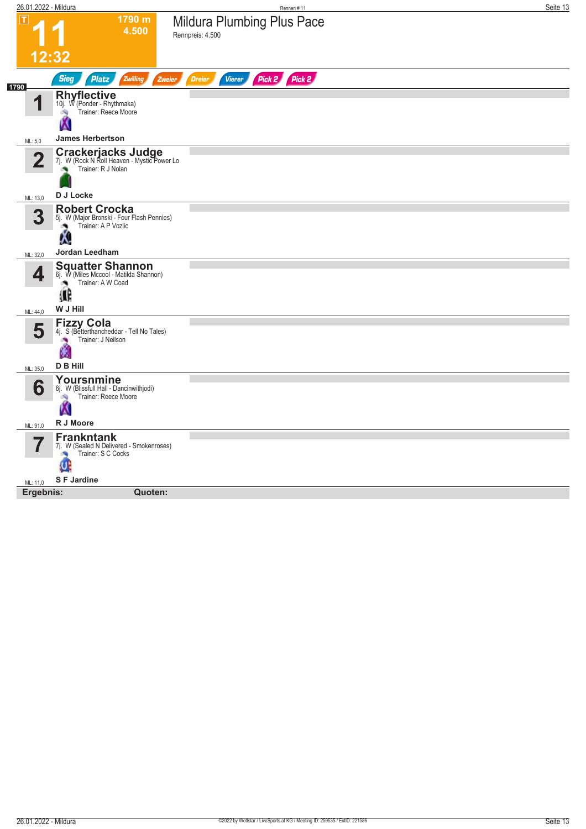| 1790 m<br>Mildura Plumbing Plus Pace<br>ΙT<br>4.500<br>Rennpreis: 4.500<br>12:32<br>Pick 2 Pick 2<br><b>Sieg</b><br>Platz<br>Zwilling<br><b>Dreier</b><br><b>Vierer</b><br>Zweier<br>1790<br><b>Rhyflective</b><br>И<br>10j. W (Ponder - Rhythmaka)<br>Trainer: Reece Moore<br>d.<br><b>James Herbertson</b><br>ML: 5,0<br><b>Crackerjacks Judge</b><br>7j. W (Rock N Roll Heaven - Mystic Power Lo<br>2<br>Trainer: R J Nolan<br>D J Locke<br>ML: 13,0<br><b>Robert Crocka</b><br>3<br>5j. W (Major Bronski - Four Flash Pennies)<br>Trainer: A P Vozlic<br>W.<br>Jordan Leedham<br>ML: 32,0<br><b>Squatter Shannon</b><br>4<br>6j. W (Miles Mccool - Matilda Shannon)<br>Trainer: A W Coad<br>Ø,<br>Œ<br>W J Hill<br>ML: 44,0<br>Fizzy Cola<br>4j. S (Betterthancheddar - Tell No Tales)<br>5<br>Trainer: J Neilson<br>×<br>V<br><b>D B Hill</b><br>ML: 35,0<br>Yoursnmine<br>6<br>6j. W (Blissfull Hall - Dancinwithjodi)<br>Trainer: Reece Moore<br>淘<br>W<br>R J Moore<br>ML: 91,0<br><b>Frankntank</b><br>7j. W (Sealed N Delivered - Smokenroses)<br>Trainer: S C Cocks<br>淘<br>Ø<br>S F Jardine<br>ML: 11,0<br>Ergebnis:<br>Quoten: | 26.01.2022 - Mildura | Rennen #11 | Seite 13 |
|---------------------------------------------------------------------------------------------------------------------------------------------------------------------------------------------------------------------------------------------------------------------------------------------------------------------------------------------------------------------------------------------------------------------------------------------------------------------------------------------------------------------------------------------------------------------------------------------------------------------------------------------------------------------------------------------------------------------------------------------------------------------------------------------------------------------------------------------------------------------------------------------------------------------------------------------------------------------------------------------------------------------------------------------------------------------------------------------------------------------------------------------|----------------------|------------|----------|
|                                                                                                                                                                                                                                                                                                                                                                                                                                                                                                                                                                                                                                                                                                                                                                                                                                                                                                                                                                                                                                                                                                                                             |                      |            |          |
|                                                                                                                                                                                                                                                                                                                                                                                                                                                                                                                                                                                                                                                                                                                                                                                                                                                                                                                                                                                                                                                                                                                                             |                      |            |          |
|                                                                                                                                                                                                                                                                                                                                                                                                                                                                                                                                                                                                                                                                                                                                                                                                                                                                                                                                                                                                                                                                                                                                             |                      |            |          |
|                                                                                                                                                                                                                                                                                                                                                                                                                                                                                                                                                                                                                                                                                                                                                                                                                                                                                                                                                                                                                                                                                                                                             |                      |            |          |
|                                                                                                                                                                                                                                                                                                                                                                                                                                                                                                                                                                                                                                                                                                                                                                                                                                                                                                                                                                                                                                                                                                                                             |                      |            |          |
|                                                                                                                                                                                                                                                                                                                                                                                                                                                                                                                                                                                                                                                                                                                                                                                                                                                                                                                                                                                                                                                                                                                                             |                      |            |          |
|                                                                                                                                                                                                                                                                                                                                                                                                                                                                                                                                                                                                                                                                                                                                                                                                                                                                                                                                                                                                                                                                                                                                             |                      |            |          |
|                                                                                                                                                                                                                                                                                                                                                                                                                                                                                                                                                                                                                                                                                                                                                                                                                                                                                                                                                                                                                                                                                                                                             |                      |            |          |
|                                                                                                                                                                                                                                                                                                                                                                                                                                                                                                                                                                                                                                                                                                                                                                                                                                                                                                                                                                                                                                                                                                                                             |                      |            |          |
|                                                                                                                                                                                                                                                                                                                                                                                                                                                                                                                                                                                                                                                                                                                                                                                                                                                                                                                                                                                                                                                                                                                                             |                      |            |          |
|                                                                                                                                                                                                                                                                                                                                                                                                                                                                                                                                                                                                                                                                                                                                                                                                                                                                                                                                                                                                                                                                                                                                             |                      |            |          |
|                                                                                                                                                                                                                                                                                                                                                                                                                                                                                                                                                                                                                                                                                                                                                                                                                                                                                                                                                                                                                                                                                                                                             |                      |            |          |
|                                                                                                                                                                                                                                                                                                                                                                                                                                                                                                                                                                                                                                                                                                                                                                                                                                                                                                                                                                                                                                                                                                                                             |                      |            |          |
|                                                                                                                                                                                                                                                                                                                                                                                                                                                                                                                                                                                                                                                                                                                                                                                                                                                                                                                                                                                                                                                                                                                                             |                      |            |          |
|                                                                                                                                                                                                                                                                                                                                                                                                                                                                                                                                                                                                                                                                                                                                                                                                                                                                                                                                                                                                                                                                                                                                             |                      |            |          |
|                                                                                                                                                                                                                                                                                                                                                                                                                                                                                                                                                                                                                                                                                                                                                                                                                                                                                                                                                                                                                                                                                                                                             |                      |            |          |
|                                                                                                                                                                                                                                                                                                                                                                                                                                                                                                                                                                                                                                                                                                                                                                                                                                                                                                                                                                                                                                                                                                                                             |                      |            |          |
|                                                                                                                                                                                                                                                                                                                                                                                                                                                                                                                                                                                                                                                                                                                                                                                                                                                                                                                                                                                                                                                                                                                                             |                      |            |          |
|                                                                                                                                                                                                                                                                                                                                                                                                                                                                                                                                                                                                                                                                                                                                                                                                                                                                                                                                                                                                                                                                                                                                             |                      |            |          |